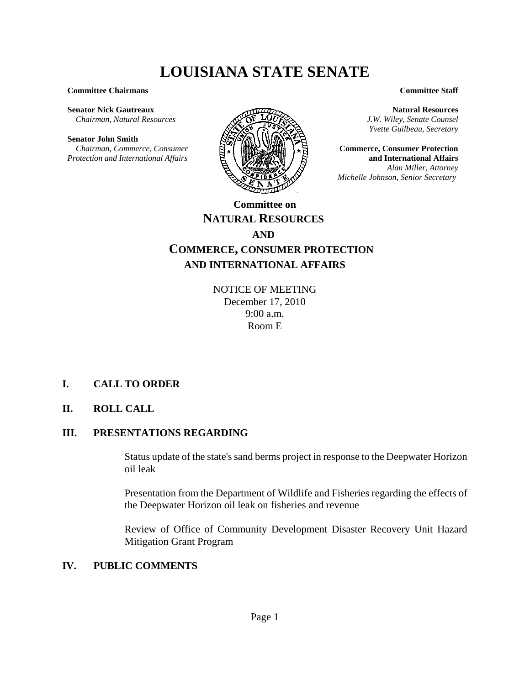# **LOUISIANA STATE SENATE**

#### **Committee Chairmans**

**Senator Nick Gautreaux**  *Chairman, Natural Resources*

#### **Senator John Smith**

 *Chairman, Commerce, Consumer Protection and International Affairs*



#### **Committee Staff**

**Natural Resources** *J.W. Wiley, Senate Counsel Yvette Guilbeau, Secretary*

**Commerce, Consumer Protection and International Affairs** *Alan Miller, Attorney Michelle Johnson, Senior Secretary* 

## **NATURAL RESOURCES AND COMMERCE, CONSUMER PROTECTION AND INTERNATIONAL AFFAIRS**

NOTICE OF MEETING December 17, 2010 9:00 a.m. Room E

## **I. CALL TO ORDER**

## **II. ROLL CALL**

## **III. PRESENTATIONS REGARDING**

Status update of the state's sand berms project in response to the Deepwater Horizon oil leak

Presentation from the Department of Wildlife and Fisheries regarding the effects of the Deepwater Horizon oil leak on fisheries and revenue

Review of Office of Community Development Disaster Recovery Unit Hazard Mitigation Grant Program

## **IV. PUBLIC COMMENTS**